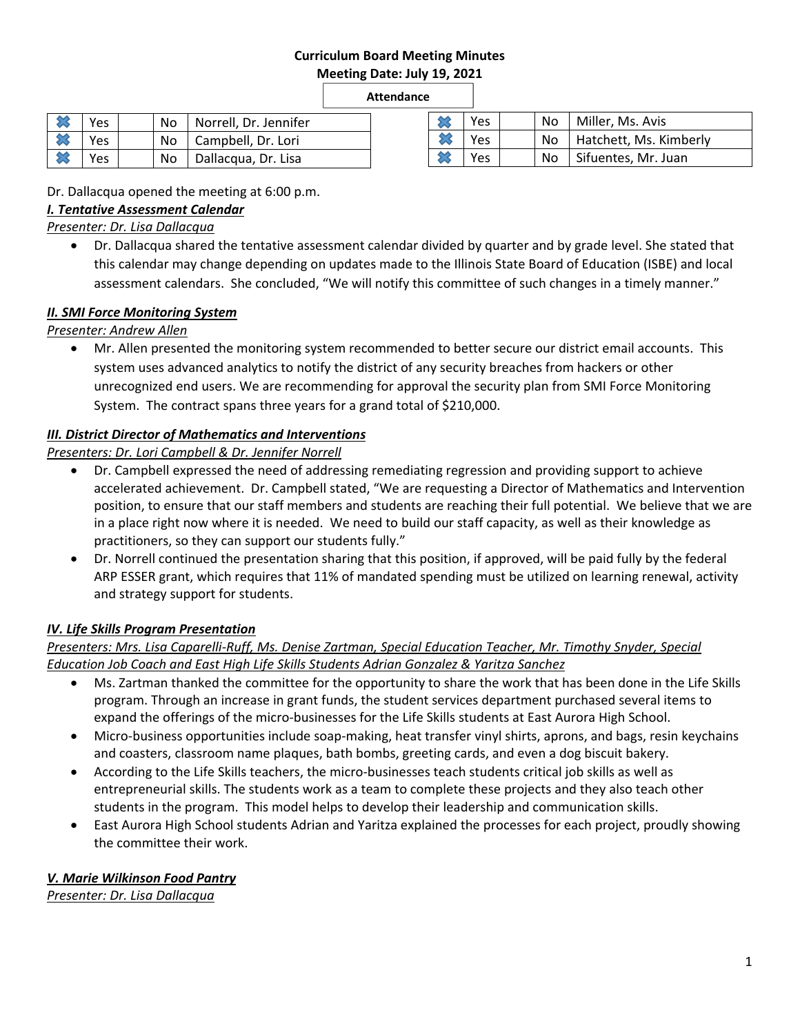#### **Curriculum Board Meeting Minutes Meeting Date: July 19, 2021**

**Attendance** 

| Yes | No   Norrell, Dr. Jennifer |
|-----|----------------------------|
| Yes | No   Campbell, Dr. Lori    |
| Yes | No   Dallacqua, Dr. Lisa   |

| Yes |     | No   Miller, Ms. Avis       |
|-----|-----|-----------------------------|
| Yes |     | No   Hatchett, Ms. Kimberly |
| Yes | No. | Sifuentes, Mr. Juan         |

Dr. Dallacqua opened the meeting at 6:00 p.m.

### *I. Tentative Assessment Calendar*

#### *Presenter: Dr. Lisa Dallacqua*

 Dr. Dallacqua shared the tentative assessment calendar divided by quarter and by grade level. She stated that this calendar may change depending on updates made to the Illinois State Board of Education (ISBE) and local assessment calendars. She concluded, "We will notify this committee of such changes in a timely manner."

# *II. SMI Force Monitoring System*

#### *Presenter: Andrew Allen*

 Mr. Allen presented the monitoring system recommended to better secure our district email accounts. This system uses advanced analytics to notify the district of any security breaches from hackers or other unrecognized end users. We are recommending for approval the security plan from SMI Force Monitoring System. The contract spans three years for a grand total of \$210,000.

# *III. District Director of Mathematics and Interventions*

*Presenters: Dr. Lori Campbell & Dr. Jennifer Norrell* 

- Dr. Campbell expressed the need of addressing remediating regression and providing support to achieve accelerated achievement. Dr. Campbell stated, "We are requesting a Director of Mathematics and Intervention position, to ensure that our staff members and students are reaching their full potential. We believe that we are in a place right now where it is needed. We need to build our staff capacity, as well as their knowledge as practitioners, so they can support our students fully."
- Dr. Norrell continued the presentation sharing that this position, if approved, will be paid fully by the federal ARP ESSER grant, which requires that 11% of mandated spending must be utilized on learning renewal, activity and strategy support for students.

# *IV. Life Skills Program Presentation*

#### *Presenters: Mrs. Lisa Caparelli‐Ruff, Ms. Denise Zartman, Special Education Teacher, Mr. Timothy Snyder, Special Education Job Coach and East High Life Skills Students Adrian Gonzalez & Yaritza Sanchez*

- Ms. Zartman thanked the committee for the opportunity to share the work that has been done in the Life Skills program. Through an increase in grant funds, the student services department purchased several items to expand the offerings of the micro-businesses for the Life Skills students at East Aurora High School.
- Micro-business opportunities include soap-making, heat transfer vinyl shirts, aprons, and bags, resin keychains and coasters, classroom name plaques, bath bombs, greeting cards, and even a dog biscuit bakery.
- According to the Life Skills teachers, the micro-businesses teach students critical job skills as well as entrepreneurial skills. The students work as a team to complete these projects and they also teach other students in the program. This model helps to develop their leadership and communication skills.
- East Aurora High School students Adrian and Yaritza explained the processes for each project, proudly showing the committee their work.

# *V. Marie Wilkinson Food Pantry*

*Presenter: Dr. Lisa Dallacqua*